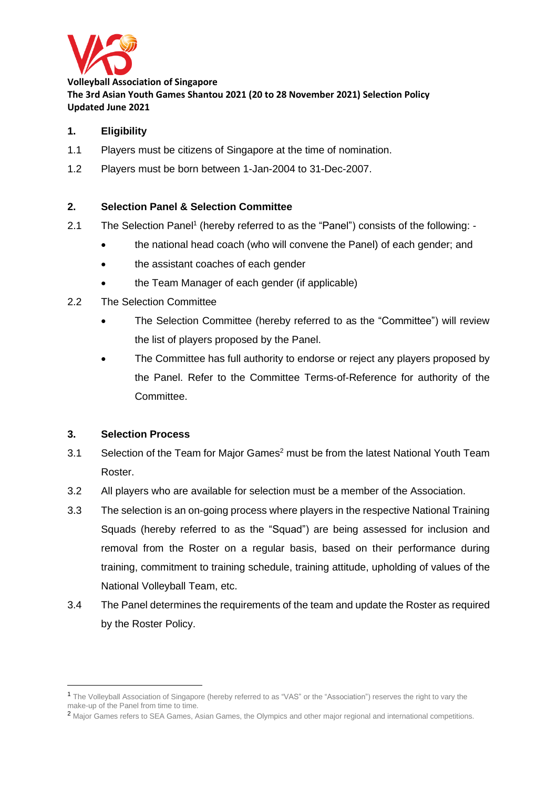

**Volleyball Association of Singapore The 3rd Asian Youth Games Shantou 2021 (20 to 28 November 2021) Selection Policy Updated June 2021**

### **1. Eligibility**

- 1.1 Players must be citizens of Singapore at the time of nomination.
- 1.2 Players must be born between 1-Jan-2004 to 31-Dec-2007.

#### **2. Selection Panel & Selection Committee**

- 2.1 The Selection Panel<sup>1</sup> (hereby referred to as the "Panel") consists of the following: -
	- the national head coach (who will convene the Panel) of each gender; and
	- the assistant coaches of each gender
	- the Team Manager of each gender (if applicable)
- 2.2 The Selection Committee
	- The Selection Committee (hereby referred to as the "Committee") will review the list of players proposed by the Panel.
	- The Committee has full authority to endorse or reject any players proposed by the Panel. Refer to the Committee Terms-of-Reference for authority of the Committee.

#### **3. Selection Process**

- 3.1 Selection of the Team for Major Games<sup>2</sup> must be from the latest National Youth Team Roster.
- 3.2 All players who are available for selection must be a member of the Association.
- 3.3 The selection is an on-going process where players in the respective National Training Squads (hereby referred to as the "Squad") are being assessed for inclusion and removal from the Roster on a regular basis, based on their performance during training, commitment to training schedule, training attitude, upholding of values of the National Volleyball Team, etc.
- 3.4 The Panel determines the requirements of the team and update the Roster as required by the Roster Policy.

<sup>2</sup> Major Games refers to SEA Games, Asian Games, the Olympics and other major regional and international competitions.

<sup>1</sup> The Volleyball Association of Singapore (hereby referred to as "VAS" or the "Association") reserves the right to vary the make-up of the Panel from time to time.